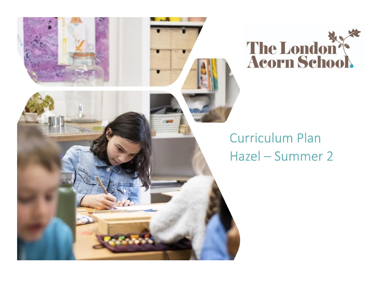

## **Curriculum Plan** Hazel - Summer 2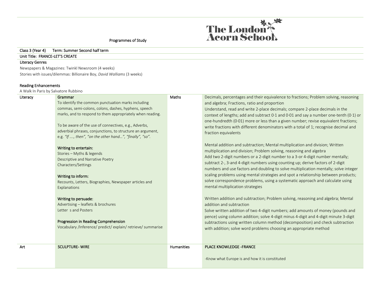

-Know what Europe is and how it is constituted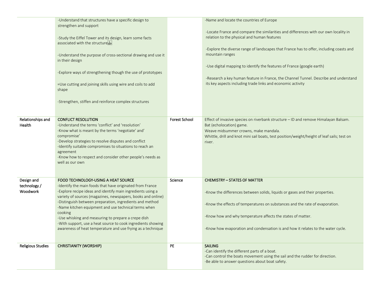|                           | -Understand that structures have a specific design to<br>strengthen and support<br>-Study the Eiffel Tower and its design, learn some facts<br>associated with the structurestri<br>-Understand the purpose of cross-sectional drawing and use it<br>in their design<br>-Explore ways of strengthening though the use of prototypes<br>=Use cutting and joining skills using wire and coils to add<br>shape<br>-Strengthen, stiffen and reinforce complex structures |                      | -Name and locate the countries of Europe<br>-Locate France and compare the similarities and differences with our own locality in<br>relation to the physical and human features<br>-Explore the diverse range of landscapes that France has to offer, including coasts and<br>mountain ranges<br>-Use digital mapping to identify the features of France (google earth)<br>-Research a key human feature in France, the Channel Tunnel. Describe and understand<br>its key aspects including trade links and economic activity |
|---------------------------|----------------------------------------------------------------------------------------------------------------------------------------------------------------------------------------------------------------------------------------------------------------------------------------------------------------------------------------------------------------------------------------------------------------------------------------------------------------------|----------------------|--------------------------------------------------------------------------------------------------------------------------------------------------------------------------------------------------------------------------------------------------------------------------------------------------------------------------------------------------------------------------------------------------------------------------------------------------------------------------------------------------------------------------------|
| Relationships and         | <b>CONFLICT RESOLUTION</b>                                                                                                                                                                                                                                                                                                                                                                                                                                           | <b>Forest School</b> | Effect of invasive species on riverbank structure - ID and remove Himalayan Balsam.                                                                                                                                                                                                                                                                                                                                                                                                                                            |
| Health                    | -Understand the terms 'conflict' and 'resolution'                                                                                                                                                                                                                                                                                                                                                                                                                    |                      | Bat (echolocation) game.                                                                                                                                                                                                                                                                                                                                                                                                                                                                                                       |
|                           | -Know what is meant by the terms 'negotiate' and'<br>compromise'                                                                                                                                                                                                                                                                                                                                                                                                     |                      | Weave midsummer crowns, make mandala.<br>Whittle, drill and knot mini sail boats, test position/weight/height of leaf sails; test on                                                                                                                                                                                                                                                                                                                                                                                           |
|                           | -Develop strategies to resolve disputes and conflict                                                                                                                                                                                                                                                                                                                                                                                                                 |                      | river.                                                                                                                                                                                                                                                                                                                                                                                                                                                                                                                         |
|                           | -Identify suitable compromises to situations to reach an                                                                                                                                                                                                                                                                                                                                                                                                             |                      |                                                                                                                                                                                                                                                                                                                                                                                                                                                                                                                                |
|                           | agreement<br>-Know how to respect and consider other people's needs as                                                                                                                                                                                                                                                                                                                                                                                               |                      |                                                                                                                                                                                                                                                                                                                                                                                                                                                                                                                                |
|                           | well as our own                                                                                                                                                                                                                                                                                                                                                                                                                                                      |                      |                                                                                                                                                                                                                                                                                                                                                                                                                                                                                                                                |
|                           |                                                                                                                                                                                                                                                                                                                                                                                                                                                                      |                      |                                                                                                                                                                                                                                                                                                                                                                                                                                                                                                                                |
|                           |                                                                                                                                                                                                                                                                                                                                                                                                                                                                      |                      |                                                                                                                                                                                                                                                                                                                                                                                                                                                                                                                                |
| Design and<br>technology/ | FOOD TECHNOLOGY-USING A HEAT SOURCE<br>-Identify the main foods that have originated from France                                                                                                                                                                                                                                                                                                                                                                     | Science              | <b>CHEMISTRY - STATES OF MATTER</b>                                                                                                                                                                                                                                                                                                                                                                                                                                                                                            |
| Woodwork                  | -Explore recipe ideas and identify main ingredients using a                                                                                                                                                                                                                                                                                                                                                                                                          |                      | -Know the differences between solids, liquids or gases and their properties.                                                                                                                                                                                                                                                                                                                                                                                                                                                   |
|                           | variety of sources (magazines, newspapers, books and online)                                                                                                                                                                                                                                                                                                                                                                                                         |                      |                                                                                                                                                                                                                                                                                                                                                                                                                                                                                                                                |
|                           | -Distinguish between preparation, ingredients and method<br>-Name kitchen equipment and use technical terms when                                                                                                                                                                                                                                                                                                                                                     |                      | -Know the effects of temperatures on substances and the rate of evaporation.                                                                                                                                                                                                                                                                                                                                                                                                                                                   |
|                           | cooking                                                                                                                                                                                                                                                                                                                                                                                                                                                              |                      |                                                                                                                                                                                                                                                                                                                                                                                                                                                                                                                                |
|                           | -Use whisking and measuring to prepare a crepe dish                                                                                                                                                                                                                                                                                                                                                                                                                  |                      | -Know how and why temperature affects the states of matter.                                                                                                                                                                                                                                                                                                                                                                                                                                                                    |
|                           | -With support, use a heat source to cook ingredients showing                                                                                                                                                                                                                                                                                                                                                                                                         |                      |                                                                                                                                                                                                                                                                                                                                                                                                                                                                                                                                |
|                           | awareness of heat temperature and use frying as a technique                                                                                                                                                                                                                                                                                                                                                                                                          |                      | -Know how evaporation and condensation is and how it relates to the water cycle.                                                                                                                                                                                                                                                                                                                                                                                                                                               |
|                           |                                                                                                                                                                                                                                                                                                                                                                                                                                                                      |                      |                                                                                                                                                                                                                                                                                                                                                                                                                                                                                                                                |
| <b>Religious Studies</b>  | <b>CHRISTIANITY (WORSHIP)</b>                                                                                                                                                                                                                                                                                                                                                                                                                                        | PE                   | <b>SAILING</b>                                                                                                                                                                                                                                                                                                                                                                                                                                                                                                                 |
|                           |                                                                                                                                                                                                                                                                                                                                                                                                                                                                      |                      | -Can identify the different parts of a boat.<br>-Can control the boats movement using the sail and the rudder for direction.                                                                                                                                                                                                                                                                                                                                                                                                   |
|                           |                                                                                                                                                                                                                                                                                                                                                                                                                                                                      |                      | -Be able to answer questions about boat safety.                                                                                                                                                                                                                                                                                                                                                                                                                                                                                |
|                           |                                                                                                                                                                                                                                                                                                                                                                                                                                                                      |                      |                                                                                                                                                                                                                                                                                                                                                                                                                                                                                                                                |